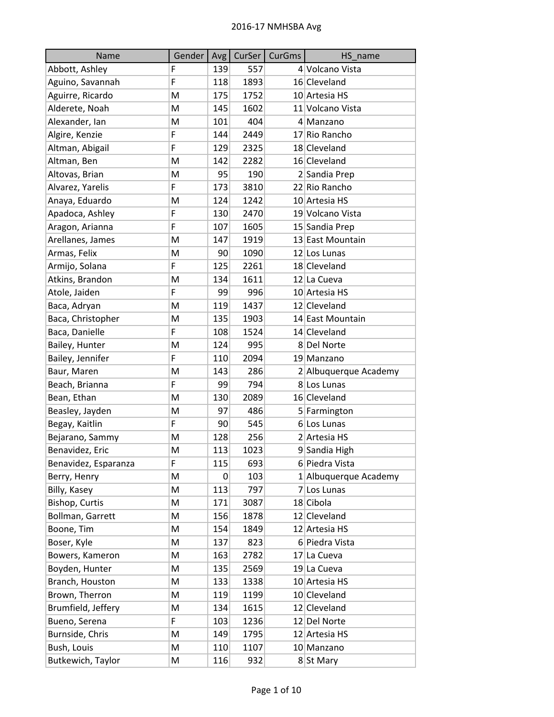| Name                 | Gender | Avg | CurSer | CurGms | HS_name               |
|----------------------|--------|-----|--------|--------|-----------------------|
| Abbott, Ashley       | F      | 139 | 557    |        | 4 Volcano Vista       |
| Aguino, Savannah     | F      | 118 | 1893   |        | 16 Cleveland          |
| Aguirre, Ricardo     | M      | 175 | 1752   |        | 10 Artesia HS         |
| Alderete, Noah       | M      | 145 | 1602   |        | 11 Volcano Vista      |
| Alexander, Ian       | M      | 101 | 404    |        | 4 Manzano             |
| Algire, Kenzie       | F      | 144 | 2449   |        | 17 Rio Rancho         |
| Altman, Abigail      | F      | 129 | 2325   |        | 18 Cleveland          |
| Altman, Ben          | M      | 142 | 2282   |        | 16 Cleveland          |
| Altovas, Brian       | M      | 95  | 190    |        | 2 Sandia Prep         |
| Alvarez, Yarelis     | F      | 173 | 3810   |        | 22 Rio Rancho         |
| Anaya, Eduardo       | M      | 124 | 1242   |        | 10 Artesia HS         |
| Apadoca, Ashley      | F      | 130 | 2470   |        | 19 Volcano Vista      |
| Aragon, Arianna      | F      | 107 | 1605   |        | 15 Sandia Prep        |
| Arellanes, James     | M      | 147 | 1919   |        | 13 East Mountain      |
| Armas, Felix         | M      | 90  | 1090   |        | 12 Los Lunas          |
| Armijo, Solana       | F      | 125 | 2261   |        | 18 Cleveland          |
| Atkins, Brandon      | M      | 134 | 1611   |        | 12 La Cueva           |
| Atole, Jaiden        | F      | 99  | 996    |        | 10 Artesia HS         |
| Baca, Adryan         | M      | 119 | 1437   |        | 12 Cleveland          |
| Baca, Christopher    | M      | 135 | 1903   |        | 14 East Mountain      |
| Baca, Danielle       | F      | 108 | 1524   |        | 14 Cleveland          |
| Bailey, Hunter       | M      | 124 | 995    |        | 8 Del Norte           |
| Bailey, Jennifer     | F      | 110 | 2094   |        | 19 Manzano            |
| Baur, Maren          | M      | 143 | 286    |        | 2 Albuquerque Academy |
| Beach, Brianna       | F      | 99  | 794    |        | 8 Los Lunas           |
| Bean, Ethan          | M      | 130 | 2089   |        | 16 Cleveland          |
| Beasley, Jayden      | M      | 97  | 486    |        | 5 Farmington          |
| Begay, Kaitlin       | F      | 90  | 545    |        | $6$ Los Lunas         |
| Bejarano, Sammy      | M      | 128 | 256    |        | 2 Artesia HS          |
| Benavidez, Eric      | M      | 113 | 1023   |        | 9 Sandia High         |
| Benavidez, Esparanza | F      | 115 | 693    |        | 6 Piedra Vista        |
| Berry, Henry         | M      | 0   | 103    |        | 1 Albuquerque Academy |
| Billy, Kasey         | M      | 113 | 797    |        | 7 Los Lunas           |
| Bishop, Curtis       | M      | 171 | 3087   |        | 18 Cibola             |
| Bollman, Garrett     | M      | 156 | 1878   |        | 12 Cleveland          |
| Boone, Tim           | M      | 154 | 1849   |        | 12 Artesia HS         |
| Boser, Kyle          | M      | 137 | 823    |        | 6 Piedra Vista        |
| Bowers, Kameron      | M      | 163 | 2782   |        | 17 La Cueva           |
| Boyden, Hunter       | M      | 135 | 2569   |        | 19 La Cueva           |
| Branch, Houston      | M      | 133 | 1338   |        | 10 Artesia HS         |
| Brown, Therron       | M      | 119 | 1199   |        | 10 Cleveland          |
| Brumfield, Jeffery   | M      | 134 | 1615   |        | 12 Cleveland          |
| Bueno, Serena        | F      | 103 | 1236   |        | 12 Del Norte          |
| Burnside, Chris      | M      | 149 | 1795   |        | 12 Artesia HS         |
| Bush, Louis          | M      | 110 | 1107   |        | 10 Manzano            |
| Butkewich, Taylor    | M      | 116 | 932    |        | 8 St Mary             |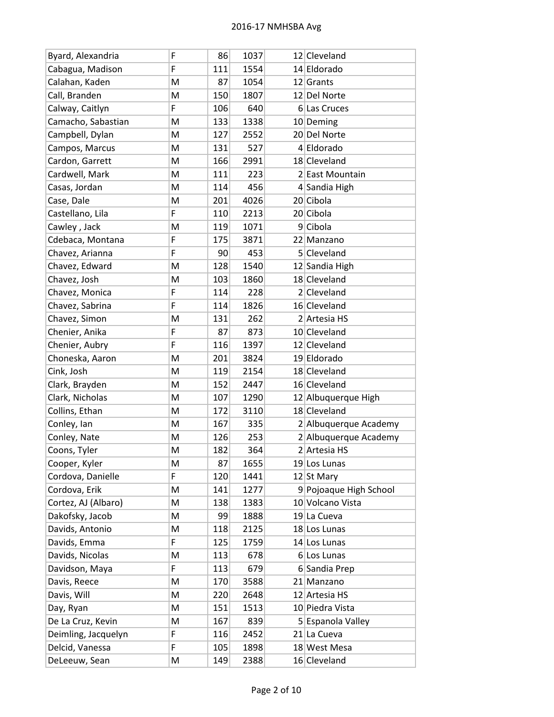| Byard, Alexandria   | F | 86  | 1037 | 12 Cleveland           |
|---------------------|---|-----|------|------------------------|
| Cabagua, Madison    | F | 111 | 1554 | 14 Eldorado            |
| Calahan, Kaden      | M | 87  | 1054 | 12 Grants              |
| Call, Branden       | M | 150 | 1807 | 12 Del Norte           |
| Calway, Caitlyn     | F | 106 | 640  | 6 Las Cruces           |
| Camacho, Sabastian  | M | 133 | 1338 | 10 Deming              |
| Campbell, Dylan     | M | 127 | 2552 | 20 Del Norte           |
| Campos, Marcus      | M | 131 | 527  | 4 Eldorado             |
| Cardon, Garrett     | M | 166 | 2991 | 18 Cleveland           |
| Cardwell, Mark      | M | 111 | 223  | 2 East Mountain        |
| Casas, Jordan       | Μ | 114 | 456  | 4 Sandia High          |
| Case, Dale          | M | 201 | 4026 | 20 Cibola              |
| Castellano, Lila    | F | 110 | 2213 | 20 Cibola              |
| Cawley, Jack        | M | 119 | 1071 | $9$ Cibola             |
| Cdebaca, Montana    | F | 175 | 3871 | 22 Manzano             |
| Chavez, Arianna     | F | 90  | 453  | 5 Cleveland            |
| Chavez, Edward      | M | 128 | 1540 | 12 Sandia High         |
| Chavez, Josh        | M | 103 | 1860 | 18 Cleveland           |
| Chavez, Monica      | F | 114 | 228  | 2 Cleveland            |
| Chavez, Sabrina     | F | 114 | 1826 | 16 Cleveland           |
| Chavez, Simon       | M | 131 | 262  | 2 Artesia HS           |
| Chenier, Anika      | F | 87  | 873  | 10 Cleveland           |
| Chenier, Aubry      | F | 116 | 1397 | 12 Cleveland           |
| Choneska, Aaron     | M | 201 | 3824 | 19 Eldorado            |
| Cink, Josh          | M | 119 | 2154 | 18 Cleveland           |
| Clark, Brayden      | M | 152 | 2447 | 16 Cleveland           |
| Clark, Nicholas     | M | 107 | 1290 | 12 Albuquerque High    |
| Collins, Ethan      | M | 172 | 3110 | 18 Cleveland           |
| Conley, Ian         | M | 167 | 335  | 2 Albuquerque Academy  |
| Conley, Nate        | M | 126 | 253  | 2 Albuquerque Academy  |
| Coons, Tyler        | M | 182 | 364  | 2 Artesia HS           |
| Cooper, Kyler       | Μ | 87  | 1655 | 19 Los Lunas           |
| Cordova, Danielle   | F | 120 | 1441 | 12 St Mary             |
| Cordova, Erik       | M | 141 | 1277 | 9 Pojoaque High School |
| Cortez, AJ (Albaro) | Μ | 138 | 1383 | 10 Volcano Vista       |
| Dakofsky, Jacob     | M | 99  | 1888 | 19 La Cueva            |
| Davids, Antonio     | Μ | 118 | 2125 | 18 Los Lunas           |
| Davids, Emma        | F | 125 | 1759 | 14 Los Lunas           |
| Davids, Nicolas     | Μ | 113 | 678  | 6 Los Lunas            |
| Davidson, Maya      | F | 113 | 679  | 6 Sandia Prep          |
| Davis, Reece        | M | 170 | 3588 | 21 Manzano             |
| Davis, Will         | Μ | 220 | 2648 | 12 Artesia HS          |
| Day, Ryan           | M | 151 | 1513 | 10 Piedra Vista        |
| De La Cruz, Kevin   | Μ | 167 | 839  | 5 Espanola Valley      |
| Deimling, Jacquelyn | F | 116 | 2452 | 21 La Cueva            |
| Delcid, Vanessa     | F | 105 | 1898 | 18 West Mesa           |
| DeLeeuw, Sean       | M | 149 | 2388 | 16 Cleveland           |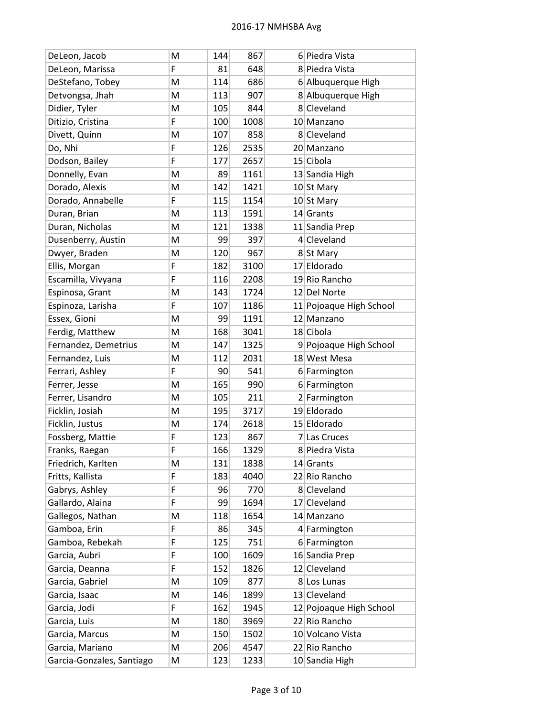| DeLeon, Jacob             | M | 144 | 867  | 6 Piedra Vista          |
|---------------------------|---|-----|------|-------------------------|
| DeLeon, Marissa           | F | 81  | 648  | 8 Piedra Vista          |
| DeStefano, Tobey          | M | 114 | 686  | 6 Albuquerque High      |
| Detvongsa, Jhah           | M | 113 | 907  | 8 Albuquerque High      |
| Didier, Tyler             | M | 105 | 844  | 8 Cleveland             |
| Ditizio, Cristina         | F | 100 | 1008 | 10 Manzano              |
| Divett, Quinn             | M | 107 | 858  | 8 Cleveland             |
| Do, Nhi                   | F | 126 | 2535 | 20 Manzano              |
| Dodson, Bailey            | F | 177 | 2657 | 15 Cibola               |
| Donnelly, Evan            | M | 89  | 1161 | 13 Sandia High          |
| Dorado, Alexis            | M | 142 | 1421 | 10 St Mary              |
| Dorado, Annabelle         | F | 115 | 1154 | 10 St Mary              |
| Duran, Brian              | M | 113 | 1591 | $14$ Grants             |
| Duran, Nicholas           | M | 121 | 1338 | 11 Sandia Prep          |
| Dusenberry, Austin        | M | 99  | 397  | 4 Cleveland             |
| Dwyer, Braden             | M | 120 | 967  | 8 St Mary               |
| Ellis, Morgan             | F | 182 | 3100 | 17 Eldorado             |
| Escamilla, Vivyana        | F | 116 | 2208 | 19 Rio Rancho           |
| Espinosa, Grant           | M | 143 | 1724 | 12 Del Norte            |
| Espinoza, Larisha         | F | 107 | 1186 | 11 Pojoaque High School |
| Essex, Gioni              | M | 99  | 1191 | 12 Manzano              |
| Ferdig, Matthew           | M | 168 | 3041 | 18 Cibola               |
| Fernandez, Demetrius      | M | 147 | 1325 | 9 Pojoaque High School  |
| Fernandez, Luis           | M | 112 | 2031 | 18 West Mesa            |
| Ferrari, Ashley           | F | 90  | 541  | 6 Farmington            |
| Ferrer, Jesse             | M | 165 | 990  | 6 Farmington            |
| Ferrer, Lisandro          | M | 105 | 211  | 2 Farmington            |
| Ficklin, Josiah           | M | 195 | 3717 | 19 Eldorado             |
| Ficklin, Justus           | M | 174 | 2618 | 15 Eldorado             |
| Fossberg, Mattie          | F | 123 | 867  | 7 Las Cruces            |
| Franks, Raegan            | F | 166 | 1329 | 8 Piedra Vista          |
| Friedrich, Karlten        | Μ | 131 | 1838 | $14$ Grants             |
| Fritts, Kallista          | F | 183 | 4040 | 22 Rio Rancho           |
| Gabrys, Ashley            | F | 96  | 770  | 8 Cleveland             |
| Gallardo, Alaina          | F | 99  | 1694 | 17 Cleveland            |
| Gallegos, Nathan          | M | 118 | 1654 | 14 Manzano              |
| Gamboa, Erin              | F | 86  | 345  | 4 Farmington            |
| Gamboa, Rebekah           | F | 125 | 751  | 6 Farmington            |
| Garcia, Aubri             | F | 100 | 1609 | 16 Sandia Prep          |
| Garcia, Deanna            | F | 152 | 1826 | 12 Cleveland            |
| Garcia, Gabriel           | M | 109 | 877  | 8 Los Lunas             |
| Garcia, Isaac             | M | 146 | 1899 | 13 Cleveland            |
| Garcia, Jodi              | F | 162 | 1945 | 12 Pojoaque High School |
| Garcia, Luis              | M | 180 | 3969 | 22 Rio Rancho           |
| Garcia, Marcus            | M | 150 | 1502 | 10 Volcano Vista        |
| Garcia, Mariano           | M | 206 | 4547 | 22 Rio Rancho           |
| Garcia-Gonzales, Santiago | M | 123 | 1233 | 10 Sandia High          |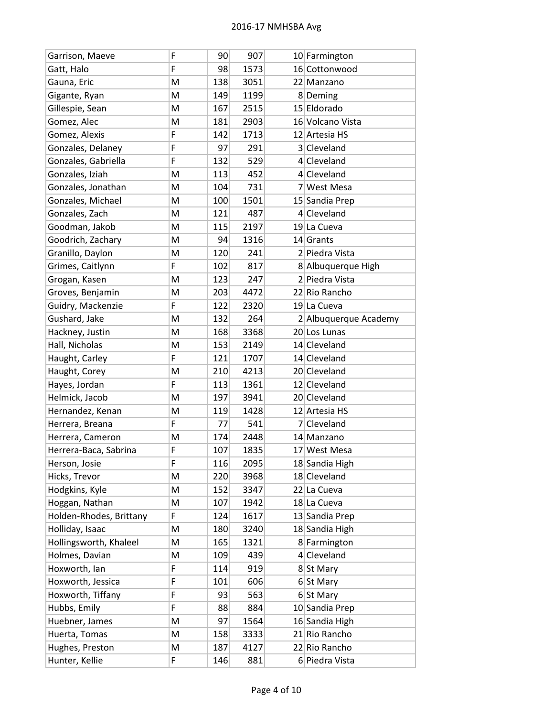| Garrison, Maeve         | F | 90  | 907  | 10 Farmington         |
|-------------------------|---|-----|------|-----------------------|
| Gatt, Halo              | F | 98  | 1573 | 16 Cottonwood         |
| Gauna, Eric             | M | 138 | 3051 | 22 Manzano            |
| Gigante, Ryan           | M | 149 | 1199 | 8Deming               |
| Gillespie, Sean         | M | 167 | 2515 | 15 Eldorado           |
| Gomez, Alec             | M | 181 | 2903 | 16 Volcano Vista      |
| Gomez, Alexis           | F | 142 | 1713 | 12 Artesia HS         |
| Gonzales, Delaney       | F | 97  | 291  | 3 Cleveland           |
| Gonzales, Gabriella     | F | 132 | 529  | 4 Cleveland           |
| Gonzales, Iziah         | M | 113 | 452  | 4 Cleveland           |
| Gonzales, Jonathan      | Μ | 104 | 731  | 7 West Mesa           |
| Gonzales, Michael       | M | 100 | 1501 | 15 Sandia Prep        |
| Gonzales, Zach          | Μ | 121 | 487  | 4 Cleveland           |
| Goodman, Jakob          | M | 115 | 2197 | 19 La Cueva           |
| Goodrich, Zachary       | Μ | 94  | 1316 | 14 Grants             |
| Granillo, Daylon        | M | 120 | 241  | 2 Piedra Vista        |
| Grimes, Caitlynn        | F | 102 | 817  | 8 Albuquerque High    |
| Grogan, Kasen           | Μ | 123 | 247  | 2 Piedra Vista        |
| Groves, Benjamin        | M | 203 | 4472 | 22 Rio Rancho         |
| Guidry, Mackenzie       | F | 122 | 2320 | 19 La Cueva           |
| Gushard, Jake           | M | 132 | 264  | 2 Albuquerque Academy |
| Hackney, Justin         | M | 168 | 3368 | 20 Los Lunas          |
| Hall, Nicholas          | Μ | 153 | 2149 | 14 Cleveland          |
| Haught, Carley          | F | 121 | 1707 | 14 Cleveland          |
| Haught, Corey           | M | 210 | 4213 | 20 Cleveland          |
| Hayes, Jordan           | F | 113 | 1361 | 12 Cleveland          |
| Helmick, Jacob          | M | 197 | 3941 | 20 Cleveland          |
| Hernandez, Kenan        | M | 119 | 1428 | 12 Artesia HS         |
| Herrera, Breana         | F | 77  | 541  | 7 Cleveland           |
| Herrera, Cameron        | Μ | 174 | 2448 | 14 Manzano            |
| Herrera-Baca, Sabrina   | F | 107 | 1835 | 17 West Mesa          |
| Herson, Josie           | F | 116 | 2095 | 18 Sandia High        |
| Hicks, Trevor           | M | 220 | 3968 | 18 Cleveland          |
| Hodgkins, Kyle          | M | 152 | 3347 | 22 La Cueva           |
| Hoggan, Nathan          | Μ | 107 | 1942 | 18 La Cueva           |
| Holden-Rhodes, Brittany | F | 124 | 1617 | 13 Sandia Prep        |
| Holliday, Isaac         | Μ | 180 | 3240 | 18 Sandia High        |
| Hollingsworth, Khaleel  | M | 165 | 1321 | 8 Farmington          |
| Holmes, Davian          | Μ | 109 | 439  | 4 Cleveland           |
| Hoxworth, Ian           | F | 114 | 919  | 8 St Mary             |
| Hoxworth, Jessica       | F | 101 | 606  | 6 St Mary             |
| Hoxworth, Tiffany       | F | 93  | 563  | $6$ St Mary           |
| Hubbs, Emily            | F | 88  | 884  | 10 Sandia Prep        |
| Huebner, James          | Μ | 97  | 1564 | 16 Sandia High        |
| Huerta, Tomas           | Μ | 158 | 3333 | 21 Rio Rancho         |
| Hughes, Preston         | Μ | 187 | 4127 | 22 Rio Rancho         |
| Hunter, Kellie          | F | 146 | 881  | 6 Piedra Vista        |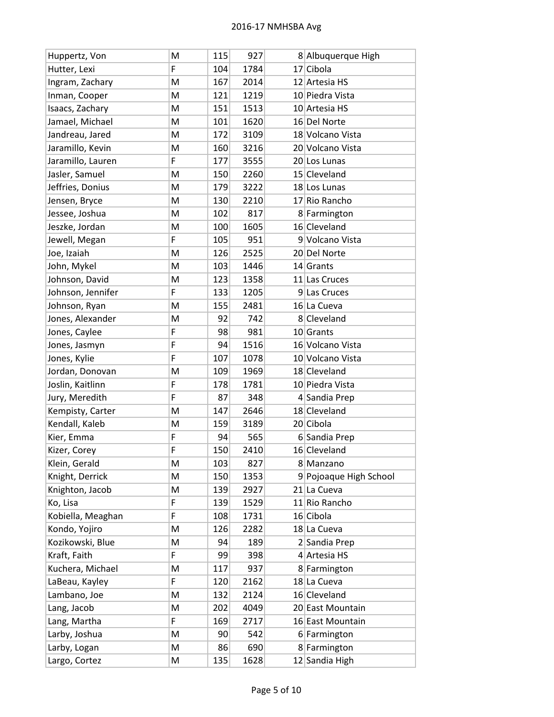| Huppertz, Von     | M | 115 | 927  | 8 Albuquerque High     |
|-------------------|---|-----|------|------------------------|
| Hutter, Lexi      | F | 104 | 1784 | $17$ Cibola            |
| Ingram, Zachary   | M | 167 | 2014 | 12 Artesia HS          |
| Inman, Cooper     | M | 121 | 1219 | 10 Piedra Vista        |
| Isaacs, Zachary   | M | 151 | 1513 | 10 Artesia HS          |
| Jamael, Michael   | M | 101 | 1620 | 16 Del Norte           |
| Jandreau, Jared   | M | 172 | 3109 | 18 Volcano Vista       |
| Jaramillo, Kevin  | M | 160 | 3216 | 20 Volcano Vista       |
| Jaramillo, Lauren | F | 177 | 3555 | 20 Los Lunas           |
| Jasler, Samuel    | M | 150 | 2260 | 15 Cleveland           |
| Jeffries, Donius  | M | 179 | 3222 | 18 Los Lunas           |
| Jensen, Bryce     | M | 130 | 2210 | 17 Rio Rancho          |
| Jessee, Joshua    | M | 102 | 817  | 8 Farmington           |
| Jeszke, Jordan    | M | 100 | 1605 | 16 Cleveland           |
| Jewell, Megan     | F | 105 | 951  | 9 Volcano Vista        |
| Joe, Izaiah       | M | 126 | 2525 | 20 Del Norte           |
| John, Mykel       | M | 103 | 1446 | $14$ Grants            |
| Johnson, David    | M | 123 | 1358 | 11 Las Cruces          |
| Johnson, Jennifer | F | 133 | 1205 | 9 Las Cruces           |
| Johnson, Ryan     | M | 155 | 2481 | 16 La Cueva            |
| Jones, Alexander  | M | 92  | 742  | 8 Cleveland            |
| Jones, Caylee     | F | 98  | 981  | $10$ Grants            |
| Jones, Jasmyn     | F | 94  | 1516 | 16 Volcano Vista       |
| Jones, Kylie      | F | 107 | 1078 | 10 Volcano Vista       |
| Jordan, Donovan   | M | 109 | 1969 | 18 Cleveland           |
| Joslin, Kaitlinn  | F | 178 | 1781 | 10 Piedra Vista        |
| Jury, Meredith    | F | 87  | 348  | 4 Sandia Prep          |
| Kempisty, Carter  | M | 147 | 2646 | 18 Cleveland           |
| Kendall, Kaleb    | M | 159 | 3189 | 20 Cibola              |
| Kier, Emma        | F | 94  | 565  | 6 Sandia Prep          |
| Kizer, Corey      | F | 150 | 2410 | 16 Cleveland           |
| Klein, Gerald     | M | 103 | 827  | 8 Manzano              |
| Knight, Derrick   | M | 150 | 1353 | 9 Pojoaque High School |
| Knighton, Jacob   | M | 139 | 2927 | 21 La Cueva            |
| Ko, Lisa          | F | 139 | 1529 | 11 Rio Rancho          |
| Kobiella, Meaghan | F | 108 | 1731 | 16 Cibola              |
| Kondo, Yojiro     | M | 126 | 2282 | 18 La Cueva            |
| Kozikowski, Blue  | M | 94  | 189  | 2 Sandia Prep          |
| Kraft, Faith      | F | 99  | 398  | 4 Artesia HS           |
| Kuchera, Michael  | M | 117 | 937  | 8 Farmington           |
| LaBeau, Kayley    | F | 120 | 2162 | 18 La Cueva            |
| Lambano, Joe      | M | 132 | 2124 | 16 Cleveland           |
| Lang, Jacob       | M | 202 | 4049 | 20 East Mountain       |
| Lang, Martha      | F | 169 | 2717 | 16 East Mountain       |
| Larby, Joshua     | M | 90  | 542  | 6 Farmington           |
| Larby, Logan      | M | 86  | 690  | 8 Farmington           |
| Largo, Cortez     | M | 135 | 1628 | 12 Sandia High         |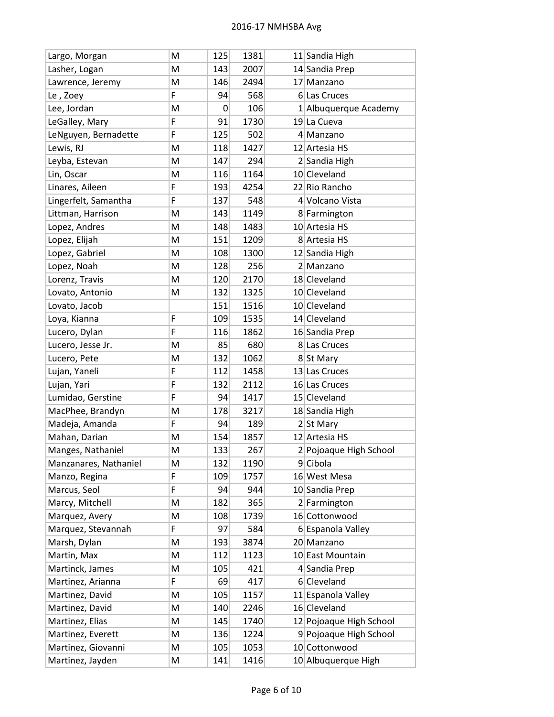| Largo, Morgan         | м | 125 | 1381 | 11 Sandia High          |
|-----------------------|---|-----|------|-------------------------|
| Lasher, Logan         | M | 143 | 2007 | 14 Sandia Prep          |
| Lawrence, Jeremy      | M | 146 | 2494 | 17 Manzano              |
| Le, Zoey              | F | 94  | 568  | 6 Las Cruces            |
| Lee, Jordan           | M | 0   | 106  | 1 Albuquerque Academy   |
| LeGalley, Mary        | F | 91  | 1730 | 19 La Cueva             |
| LeNguyen, Bernadette  | F | 125 | 502  | 4 Manzano               |
| Lewis, RJ             | M | 118 | 1427 | 12 Artesia HS           |
| Leyba, Estevan        | M | 147 | 294  | 2 Sandia High           |
| Lin, Oscar            | M | 116 | 1164 | 10 Cleveland            |
| Linares, Aileen       | F | 193 | 4254 | 22 Rio Rancho           |
| Lingerfelt, Samantha  | F | 137 | 548  | 4 Volcano Vista         |
| Littman, Harrison     | M | 143 | 1149 | 8 Farmington            |
| Lopez, Andres         | M | 148 | 1483 | 10 Artesia HS           |
| Lopez, Elijah         | M | 151 | 1209 | 8 Artesia HS            |
| Lopez, Gabriel        | M | 108 | 1300 | 12 Sandia High          |
| Lopez, Noah           | M | 128 | 256  | 2 Manzano               |
| Lorenz, Travis        | M | 120 | 2170 | 18 Cleveland            |
| Lovato, Antonio       | M | 132 | 1325 | 10 Cleveland            |
| Lovato, Jacob         |   | 151 | 1516 | 10 Cleveland            |
| Loya, Kianna          | F | 109 | 1535 | 14 Cleveland            |
| Lucero, Dylan         | F | 116 | 1862 | 16 Sandia Prep          |
| Lucero, Jesse Jr.     | M | 85  | 680  | 8 Las Cruces            |
| Lucero, Pete          | M | 132 | 1062 | 8 St Mary               |
| Lujan, Yaneli         | F | 112 | 1458 | 13 Las Cruces           |
| Lujan, Yari           | F | 132 | 2112 | 16 Las Cruces           |
| Lumidao, Gerstine     | F | 94  | 1417 | 15 Cleveland            |
| MacPhee, Brandyn      | M | 178 | 3217 | 18 Sandia High          |
| Madeja, Amanda        | F | 94  | 189  | $2$ St Mary             |
| Mahan, Darian         | M | 154 | 1857 | 12 Artesia HS           |
| Manges, Nathaniel     | M | 133 | 267  | 2 Pojoaque High School  |
| Manzanares, Nathaniel | M | 132 | 1190 | 9 Cibola                |
| Manzo, Regina         | F | 109 | 1757 | 16 West Mesa            |
| Marcus, Seol          | F | 94  | 944  | 10 Sandia Prep          |
| Marcy, Mitchell       | M | 182 | 365  | 2 Farmington            |
| Marquez, Avery        | M | 108 | 1739 | 16 Cottonwood           |
| Marquez, Stevannah    | F | 97  | 584  | 6 Espanola Valley       |
| Marsh, Dylan          | M | 193 | 3874 | 20 Manzano              |
| Martin, Max           | M | 112 | 1123 | 10 East Mountain        |
| Martinck, James       | M | 105 | 421  | 4 Sandia Prep           |
| Martinez, Arianna     | F | 69  | 417  | 6 Cleveland             |
| Martinez, David       | M | 105 | 1157 | 11 Espanola Valley      |
| Martinez, David       | M | 140 | 2246 | 16 Cleveland            |
| Martinez, Elias       | M | 145 | 1740 | 12 Pojoaque High School |
| Martinez, Everett     | M | 136 | 1224 | 9 Pojoaque High School  |
| Martinez, Giovanni    | M | 105 | 1053 | 10 Cottonwood           |
| Martinez, Jayden      | M | 141 | 1416 | 10 Albuquerque High     |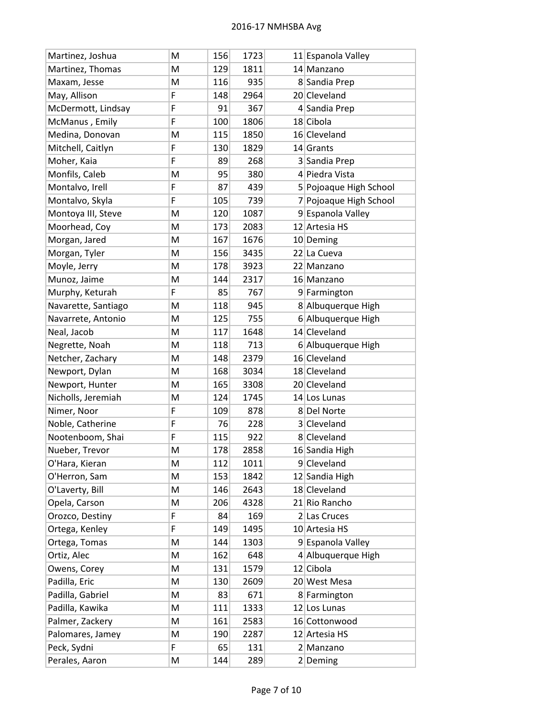| Martinez, Joshua    | м | 156 | 1723 | 11 Espanola Valley     |
|---------------------|---|-----|------|------------------------|
| Martinez, Thomas    | M | 129 | 1811 | 14 Manzano             |
| Maxam, Jesse        | M | 116 | 935  | 8 Sandia Prep          |
| May, Allison        | F | 148 | 2964 | 20 Cleveland           |
| McDermott, Lindsay  | F | 91  | 367  | 4 Sandia Prep          |
| McManus, Emily      | F | 100 | 1806 | 18 Cibola              |
| Medina, Donovan     | M | 115 | 1850 | 16 Cleveland           |
| Mitchell, Caitlyn   | F | 130 | 1829 | $14$ Grants            |
| Moher, Kaia         | F | 89  | 268  | 3 Sandia Prep          |
| Monfils, Caleb      | M | 95  | 380  | 4 Piedra Vista         |
| Montalvo, Irell     | F | 87  | 439  | 5 Pojoaque High School |
| Montalvo, Skyla     | F | 105 | 739  | 7 Pojoaque High School |
| Montoya III, Steve  | M | 120 | 1087 | 9 Espanola Valley      |
| Moorhead, Coy       | M | 173 | 2083 | 12 Artesia HS          |
| Morgan, Jared       | M | 167 | 1676 | 10 Deming              |
| Morgan, Tyler       | M | 156 | 3435 | 22 La Cueva            |
| Moyle, Jerry        | M | 178 | 3923 | 22 Manzano             |
| Munoz, Jaime        | M | 144 | 2317 | 16 Manzano             |
| Murphy, Keturah     | F | 85  | 767  | 9 Farmington           |
| Navarette, Santiago | M | 118 | 945  | 8 Albuquerque High     |
| Navarrete, Antonio  | M | 125 | 755  | 6 Albuquerque High     |
| Neal, Jacob         | M | 117 | 1648 | 14 Cleveland           |
| Negrette, Noah      | M | 118 | 713  | 6 Albuquerque High     |
| Netcher, Zachary    | M | 148 | 2379 | 16 Cleveland           |
| Newport, Dylan      | M | 168 | 3034 | 18 Cleveland           |
| Newport, Hunter     | M | 165 | 3308 | 20 Cleveland           |
| Nicholls, Jeremiah  | M | 124 | 1745 | 14 Los Lunas           |
| Nimer, Noor         | F | 109 | 878  | 8Del Norte             |
| Noble, Catherine    | F | 76  | 228  | 3 Cleveland            |
| Nootenboom, Shai    | F | 115 | 922  | 8 Cleveland            |
| Nueber, Trevor      | M | 178 | 2858 | 16 Sandia High         |
| O'Hara, Kieran      | M | 112 | 1011 | 9 Cleveland            |
| O'Herron, Sam       | M | 153 | 1842 | 12 Sandia High         |
| O'Laverty, Bill     | Μ | 146 | 2643 | 18 Cleveland           |
| Opela, Carson       | M | 206 | 4328 | 21 Rio Rancho          |
| Orozco, Destiny     | F | 84  | 169  | 2 Las Cruces           |
| Ortega, Kenley      | F | 149 | 1495 | 10 Artesia HS          |
| Ortega, Tomas       | M | 144 | 1303 | 9 Espanola Valley      |
| Ortiz, Alec         | M | 162 | 648  | 4 Albuquerque High     |
| Owens, Corey        | M | 131 | 1579 | 12 Cibola              |
| Padilla, Eric       | M | 130 | 2609 | 20 West Mesa           |
| Padilla, Gabriel    | M | 83  | 671  | 8 Farmington           |
| Padilla, Kawika     | M | 111 | 1333 | 12 Los Lunas           |
| Palmer, Zackery     | M | 161 | 2583 | 16 Cottonwood          |
| Palomares, Jamey    | M | 190 | 2287 | 12 Artesia HS          |
| Peck, Sydni         | F | 65  | 131  | 2 Manzano              |
| Perales, Aaron      | M | 144 | 289  | $2$ Deming             |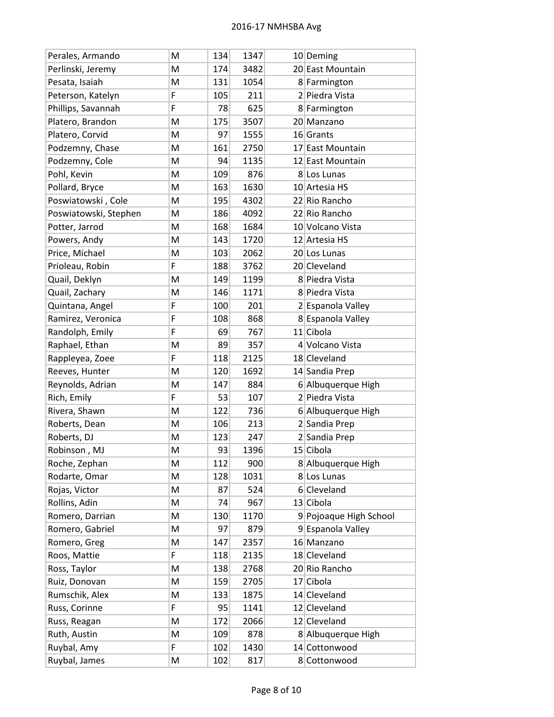| Perales, Armando      | M | 134 | 1347 | 10 Deming              |
|-----------------------|---|-----|------|------------------------|
| Perlinski, Jeremy     | M | 174 | 3482 | 20 East Mountain       |
| Pesata, Isaiah        | Μ | 131 | 1054 | 8 Farmington           |
| Peterson, Katelyn     | F | 105 | 211  | 2 Piedra Vista         |
| Phillips, Savannah    | F | 78  | 625  | 8 Farmington           |
| Platero, Brandon      | M | 175 | 3507 | 20 Manzano             |
| Platero, Corvid       | M | 97  | 1555 | 16 Grants              |
| Podzemny, Chase       | M | 161 | 2750 | 17 East Mountain       |
| Podzemny, Cole        | M | 94  | 1135 | 12 East Mountain       |
| Pohl, Kevin           | Μ | 109 | 876  | 8 Los Lunas            |
| Pollard, Bryce        | M | 163 | 1630 | 10 Artesia HS          |
| Poswiatowski, Cole    | M | 195 | 4302 | 22 Rio Rancho          |
| Poswiatowski, Stephen | M | 186 | 4092 | 22 Rio Rancho          |
| Potter, Jarrod        | M | 168 | 1684 | 10 Volcano Vista       |
| Powers, Andy          | M | 143 | 1720 | 12 Artesia HS          |
| Price, Michael        | M | 103 | 2062 | 20 Los Lunas           |
| Prioleau, Robin       | F | 188 | 3762 | 20 Cleveland           |
| Quail, Deklyn         | M | 149 | 1199 | 8 Piedra Vista         |
| Quail, Zachary        | M | 146 | 1171 | 8 Piedra Vista         |
| Quintana, Angel       | F | 100 | 201  | 2 Espanola Valley      |
| Ramirez, Veronica     | F | 108 | 868  | 8 Espanola Valley      |
| Randolph, Emily       | F | 69  | 767  | 11 Cibola              |
| Raphael, Ethan        | M | 89  | 357  | 4 Volcano Vista        |
| Rappleyea, Zoee       | F | 118 | 2125 | 18 Cleveland           |
| Reeves, Hunter        | M | 120 | 1692 | 14 Sandia Prep         |
| Reynolds, Adrian      | M | 147 | 884  | 6 Albuquerque High     |
| Rich, Emily           | F | 53  | 107  | 2 Piedra Vista         |
| Rivera, Shawn         | M | 122 | 736  | 6 Albuquerque High     |
| Roberts, Dean         | M | 106 | 213  | 2 Sandia Prep          |
| Roberts, DJ           | M | 123 | 247  | 2 Sandia Prep          |
| Robinson, MJ          | M | 93  | 1396 | 15 Cibola              |
| Roche, Zephan         | Μ | 112 | 900  | 8 Albuquerque High     |
| Rodarte, Omar         | M | 128 | 1031 | 8 Los Lunas            |
| Rojas, Victor         | M | 87  | 524  | 6 Cleveland            |
| Rollins, Adin         | M | 74  | 967  | 13 Cibola              |
| Romero, Darrian       | M | 130 | 1170 | 9 Pojoaque High School |
| Romero, Gabriel       | M | 97  | 879  | 9 Espanola Valley      |
| Romero, Greg          | M | 147 | 2357 | 16 Manzano             |
| Roos, Mattie          | F | 118 | 2135 | 18 Cleveland           |
| Ross, Taylor          | M | 138 | 2768 | 20 Rio Rancho          |
| Ruiz, Donovan         | M | 159 | 2705 | 17 Cibola              |
| Rumschik, Alex        | M | 133 | 1875 | 14 Cleveland           |
| Russ, Corinne         | F | 95  | 1141 | 12 Cleveland           |
| Russ, Reagan          | M | 172 | 2066 | 12 Cleveland           |
| Ruth, Austin          | M | 109 | 878  | 8 Albuquerque High     |
| Ruybal, Amy           | F | 102 | 1430 | 14 Cottonwood          |
| Ruybal, James         | M | 102 | 817  | 8 Cottonwood           |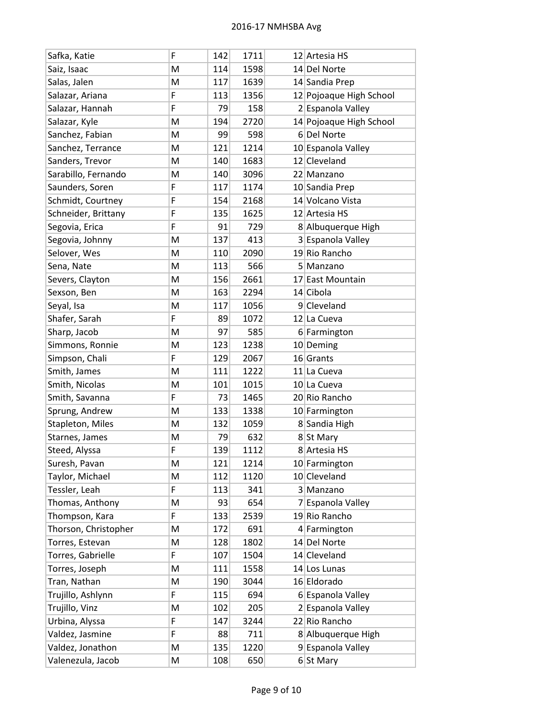| Safka, Katie         | F | 142 | 1711 |    | 12 Artesia HS           |
|----------------------|---|-----|------|----|-------------------------|
| Saiz, Isaac          | M | 114 | 1598 |    | 14 Del Norte            |
| Salas, Jalen         | M | 117 | 1639 |    | 14 Sandia Prep          |
| Salazar, Ariana      | F | 113 | 1356 |    | 12 Pojoaque High School |
| Salazar, Hannah      | F | 79  | 158  |    | 2 Espanola Valley       |
| Salazar, Kyle        | M | 194 | 2720 |    | 14 Pojoaque High School |
| Sanchez, Fabian      | M | 99  | 598  |    | 6Del Norte              |
| Sanchez, Terrance    | M | 121 | 1214 |    | 10 Espanola Valley      |
| Sanders, Trevor      | M | 140 | 1683 |    | 12 Cleveland            |
| Sarabillo, Fernando  | M | 140 | 3096 |    | 22 Manzano              |
| Saunders, Soren      | F | 117 | 1174 |    | 10 Sandia Prep          |
| Schmidt, Courtney    | F | 154 | 2168 |    | 14 Volcano Vista        |
| Schneider, Brittany  | F | 135 | 1625 |    | 12 Artesia HS           |
| Segovia, Erica       | F | 91  | 729  |    | 8 Albuquerque High      |
| Segovia, Johnny      | M | 137 | 413  |    | 3 Espanola Valley       |
| Selover, Wes         | M | 110 | 2090 |    | 19 Rio Rancho           |
| Sena, Nate           | M | 113 | 566  |    | 5 Manzano               |
| Severs, Clayton      | M | 156 | 2661 |    | 17 East Mountain        |
| Sexson, Ben          | M | 163 | 2294 |    | 14 Cibola               |
| Seyal, Isa           | M | 117 | 1056 |    | 9 Cleveland             |
| Shafer, Sarah        | F | 89  | 1072 |    | 12 La Cueva             |
| Sharp, Jacob         | M | 97  | 585  |    | 6 Farmington            |
| Simmons, Ronnie      | M | 123 | 1238 |    | 10 Deming               |
| Simpson, Chali       | F | 129 | 2067 |    | 16 Grants               |
| Smith, James         | M | 111 | 1222 |    | 11 La Cueva             |
| Smith, Nicolas       | M | 101 | 1015 |    | 10 La Cueva             |
| Smith, Savanna       | F | 73  | 1465 |    | 20 Rio Rancho           |
| Sprung, Andrew       | M | 133 | 1338 |    | 10 Farmington           |
| Stapleton, Miles     | M | 132 | 1059 |    | 8 Sandia High           |
| Starnes, James       | M | 79  | 632  |    | 8 St Mary               |
| Steed, Alyssa        | F | 139 | 1112 |    | 8 Artesia HS            |
| Suresh, Pavan        | M | 121 | 1214 |    | 10 Farmington           |
| Taylor, Michael      | M | 112 | 1120 |    | 10 Cleveland            |
| Tessler, Leah        | F | 113 | 341  |    | 3 Manzano               |
| Thomas, Anthony      | M | 93  | 654  | 71 | Espanola Valley         |
| Thompson, Kara       | F | 133 | 2539 |    | 19 Rio Rancho           |
| Thorson, Christopher | Μ | 172 | 691  |    | 4 Farmington            |
| Torres, Estevan      | M | 128 | 1802 |    | 14 Del Norte            |
| Torres, Gabrielle    | F | 107 | 1504 |    | 14 Cleveland            |
| Torres, Joseph       | M | 111 | 1558 |    | 14 Los Lunas            |
| Tran, Nathan         | M | 190 | 3044 |    | 16 Eldorado             |
| Trujillo, Ashlynn    | F | 115 | 694  |    | 6 Espanola Valley       |
| Trujillo, Vinz       | M | 102 | 205  |    | 2 Espanola Valley       |
| Urbina, Alyssa       | F | 147 | 3244 |    | 22 Rio Rancho           |
| Valdez, Jasmine      | F | 88  | 711  |    | 8 Albuquerque High      |
| Valdez, Jonathon     | M | 135 | 1220 |    | 9 Espanola Valley       |
| Valenezula, Jacob    | M | 108 | 650  |    | $6$ St Mary             |